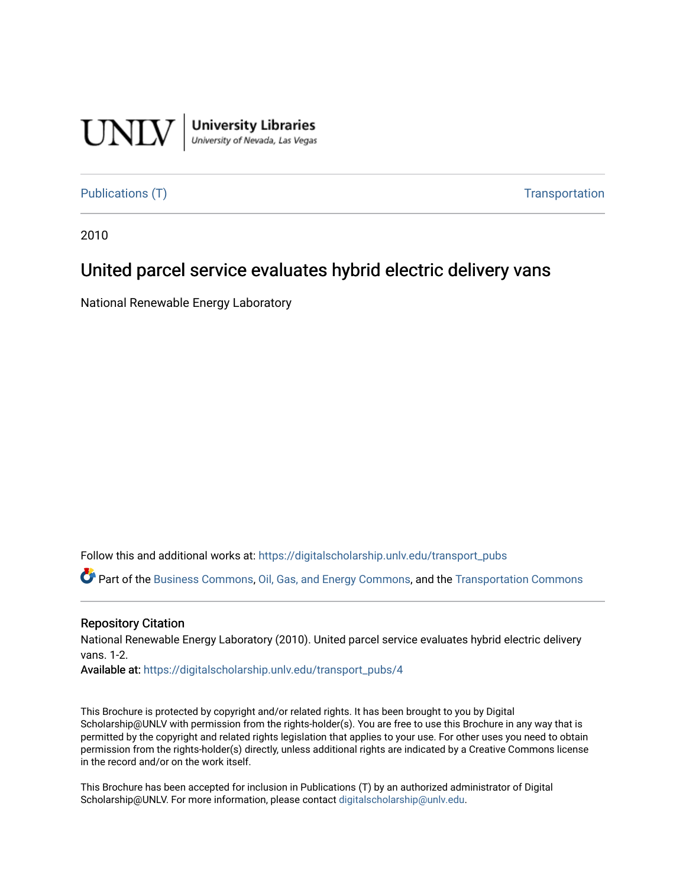

**University Libraries**<br>University of Nevada, Las Vegas

[Publications \(T\)](https://digitalscholarship.unlv.edu/transport_pubs) Transportation

2010

## United parcel service evaluates hybrid electric delivery vans

National Renewable Energy Laboratory

Follow this and additional works at: [https://digitalscholarship.unlv.edu/transport\\_pubs](https://digitalscholarship.unlv.edu/transport_pubs?utm_source=digitalscholarship.unlv.edu%2Ftransport_pubs%2F4&utm_medium=PDF&utm_campaign=PDFCoverPages) 

Part of the [Business Commons](http://network.bepress.com/hgg/discipline/622?utm_source=digitalscholarship.unlv.edu%2Ftransport_pubs%2F4&utm_medium=PDF&utm_campaign=PDFCoverPages), [Oil, Gas, and Energy Commons,](http://network.bepress.com/hgg/discipline/171?utm_source=digitalscholarship.unlv.edu%2Ftransport_pubs%2F4&utm_medium=PDF&utm_campaign=PDFCoverPages) and the [Transportation Commons](http://network.bepress.com/hgg/discipline/1068?utm_source=digitalscholarship.unlv.edu%2Ftransport_pubs%2F4&utm_medium=PDF&utm_campaign=PDFCoverPages) 

#### Repository Citation

National Renewable Energy Laboratory (2010). United parcel service evaluates hybrid electric delivery vans. 1-2.

Available at: [https://digitalscholarship.unlv.edu/transport\\_pubs/4](https://digitalscholarship.unlv.edu/transport_pubs/4) 

This Brochure is protected by copyright and/or related rights. It has been brought to you by Digital Scholarship@UNLV with permission from the rights-holder(s). You are free to use this Brochure in any way that is permitted by the copyright and related rights legislation that applies to your use. For other uses you need to obtain permission from the rights-holder(s) directly, unless additional rights are indicated by a Creative Commons license in the record and/or on the work itself.

This Brochure has been accepted for inclusion in Publications (T) by an authorized administrator of Digital Scholarship@UNLV. For more information, please contact [digitalscholarship@unlv.edu.](mailto:digitalscholarship@unlv.edu)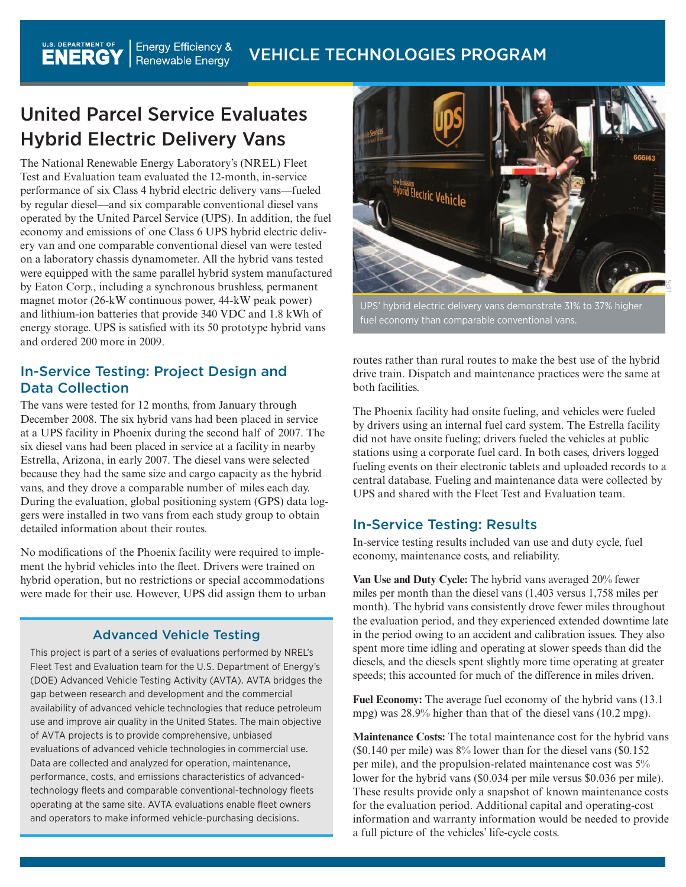# United Parcel Service Evaluates Hybrid Electric Delivery Vans

The National Renewable Energy Laboratory's (NREL) Fleet Test and Evaluation team evaluated the 12-month, in-service performance of six Class 4 hybrid electric delivery vans—fueled by regular diesel—and six comparable conventional diesel vans operated by the United Parcel Service (UPS). In addition, the fuel economy and emissions of one Class 6 UPS hybrid electric delivery van and one comparable conventional diesel van were tested on a laboratory chassis dynamometer. All the hybrid vans tested were equipped with the same parallel hybrid system manufactured by Eaton Corp., including a synchronous brushless, permanent magnet motor (26-kW continuous power, 44-kW peak power) and lithium-ion batteries that provide 340 VDC and 1.8 kWh of energy storage. UPS is satisfied with its 50 prototype hybrid vans and ordered 200 more in 2009.

### In-Service Testing: Project Design and Data Collection

The vans were tested for 12 months, from January through December 2008. The six hybrid vans had been placed in service at a UPS facility in Phoenix during the second half of 2007. The six diesel vans had been placed in service at a facility in nearby Estrella, Arizona, in early 2007. The diesel vans were selected because they had the same size and cargo capacity as the hybrid vans, and they drove a comparable number of miles each day. During the evaluation, global positioning system (GPS) data loggers were installed in two vans from each study group to obtain detailed information about their routes.

No modifications of the Phoenix facility were required to implement the hybrid vehicles into the fleet. Drivers were trained on hybrid operation, but no restrictions or special accommodations were made for their use. However, UPS did assign them to urban

### Advanced Vehicle Testing

This project is part of a series of evaluations performed by NREL's Fleet Test and Evaluation team for the U.S. Department of Energy's (DOE) Advanced Vehicle Testing Activity (AVTA). AVTA bridges the gap between research and development and the commercial availability of advanced vehicle technologies that reduce petroleum use and improve air quality in the United States. The main objective of AVTA projects is to provide comprehensive, unbiased evaluations of advanced vehicle technologies in commercial use. Data are collected and analyzed for operation, maintenance, performance, costs, and emissions characteristics of advancedtechnology fleets and comparable conventional-technology fleets operating at the same site. AVTA evaluations enable fleet owners and operators to make informed vehicle-purchasing decisions.



UPS' hybrid electric delivery vans demonstrate 31% to 37% higher fuel economy than comparable conventional vans.

routes rather than rural routes to make the best use of the hybrid drive train. Dispatch and maintenance practices were the same at both facilities.

The Phoenix facility had onsite fueling, and vehicles were fueled by drivers using an internal fuel card system. The Estrella facility did not have onsite fueling; drivers fueled the vehicles at public stations using a corporate fuel card. In both cases, drivers logged fueling events on their electronic tablets and uploaded records to a central database. Fueling and maintenance data were collected by UPS and shared with the Fleet Test and Evaluation team.

### In-Service Testing: Results

In-service testing results included van use and duty cycle, fuel economy, maintenance costs, and reliability.

**Van Use and Duty Cycle:** The hybrid vans averaged 20% fewer miles per month than the diesel vans (1,403 versus 1,758 miles per month). The hybrid vans consistently drove fewer miles throughout the evaluation period, and they experienced extended downtime late in the period owing to an accident and calibration issues. They also spent more time idling and operating at slower speeds than did the diesels, and the diesels spent slightly more time operating at greater speeds; this accounted for much of the difference in miles driven.

**Fuel Economy:** The average fuel economy of the hybrid vans (13.1 mpg) was 28.9% higher than that of the diesel vans (10.2 mpg).

**Maintenance Costs:** The total maintenance cost for the hybrid vans (\$0.140 per mile) was 8% lower than for the diesel vans (\$0.152 per mile), and the propulsion-related maintenance cost was 5% lower for the hybrid vans (\$0.034 per mile versus \$0.036 per mile). These results provide only a snapshot of known maintenance costs for the evaluation period. Additional capital and operating-cost information and warranty information would be needed to provide a full picture of the vehicles' life-cycle costs.